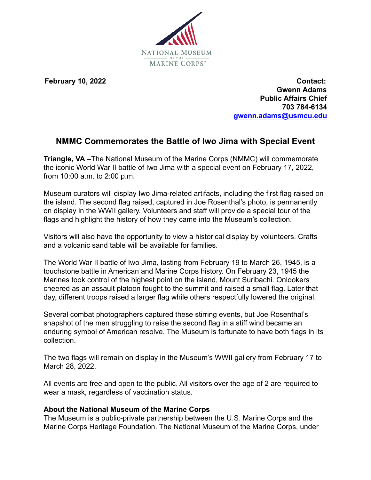

**February 10, 2022 Contact: Gwenn Adams Public Affairs Chief 703 784-6134 gwenn.adams@usmcu.edu**

## **NMMC Commemorates the Battle of Iwo Jima with Special Event**

**Triangle, VA** –The National Museum of the Marine Corps (NMMC) will commemorate the iconic World War II battle of Iwo Jima with a special event on February 17, 2022, from 10:00 a.m. to 2:00 p.m.

Museum curators will display Iwo Jima-related artifacts, including the first flag raised on the island. The second flag raised, captured in Joe Rosenthal's photo, is permanently on display in the WWII gallery. Volunteers and staff will provide a special tour of the flags and highlight the history of how they came into the Museum's collection.

Visitors will also have the opportunity to view a historical display by volunteers. Crafts and a volcanic sand table will be available for families.

The World War II battle of Iwo Jima, lasting from February 19 to March 26, 1945, is a touchstone battle in American and Marine Corps history. On February 23, 1945 the Marines took control of the highest point on the island, Mount Suribachi. Onlookers cheered as an assault platoon fought to the summit and raised a small flag. Later that day, different troops raised a larger flag while others respectfully lowered the original.

Several combat photographers captured these stirring events, but Joe Rosenthal's snapshot of the men struggling to raise the second flag in a stiff wind became an enduring symbol of American resolve. The Museum is fortunate to have both flags in its collection.

The two flags will remain on display in the Museum's WWII gallery from February 17 to March 28, 2022.

All events are free and open to the public. All visitors over the age of 2 are required to wear a mask, regardless of vaccination status.

## **About the National Museum of the Marine Corps**

The Museum is a public-private partnership between the U.S. Marine Corps and the Marine Corps Heritage Foundation. The National Museum of the Marine Corps, under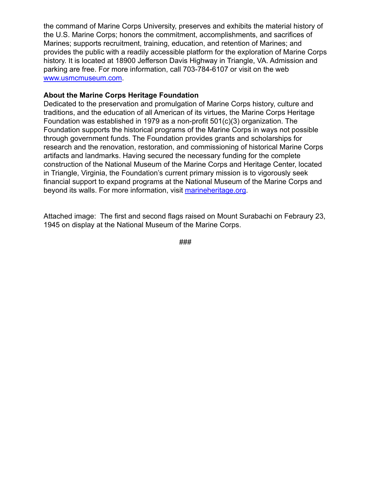the command of Marine Corps University, preserves and exhibits the material history of the U.S. Marine Corps; honors the commitment, accomplishments, and sacrifices of Marines; supports recruitment, training, education, and retention of Marines; and provides the public with a readily accessible platform for the exploration of Marine Corps history. It is located at 18900 Jefferson Davis Highway in Triangle, VA. Admission and parking are free. For more information, call 703-784-6107 or visit on the web [www.usmcmuseum.com](http://www.usmcmuseum.com).

## **About the Marine Corps Heritage Foundation**

Dedicated to the preservation and promulgation of Marine Corps history, culture and traditions, and the education of all American of its virtues, the Marine Corps Heritage Foundation was established in 1979 as a non-profit 501(c)(3) organization. The Foundation supports the historical programs of the Marine Corps in ways not possible through government funds. The Foundation provides grants and scholarships for research and the renovation, restoration, and commissioning of historical Marine Corps artifacts and landmarks. Having secured the necessary funding for the complete construction of the National Museum of the Marine Corps and Heritage Center, located in Triangle, Virginia, the Foundation's current primary mission is to vigorously seek financial support to expand programs at the National Museum of the Marine Corps and beyond its walls. For more information, visit [marineheritage.org](http://marineheritage.org/).

Attached image: The first and second flags raised on Mount Surabachi on Febraury 23, 1945 on display at the National Museum of the Marine Corps.

###